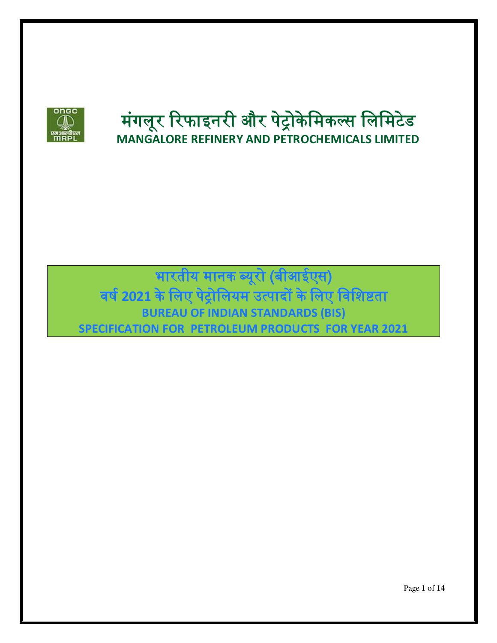

# मंगलूर रिफाइनरी और पेट्रोकेमिकल्स लिमिटेड **MANGALORE REFINERY AND PETROCHEMICALS LIMITED**

भारतीय मानक ब्यूरो (बीआईएस) वर् ष**2021** के मलए पट्रेोमलयम उत्पादों के मलए मवमिष्टता **BUREAU OF INDIAN STANDARDS (BIS) SPECIFICATION FOR PETROLEUM PRODUCTS FOR YEAR 2021**

Page **1** of **14**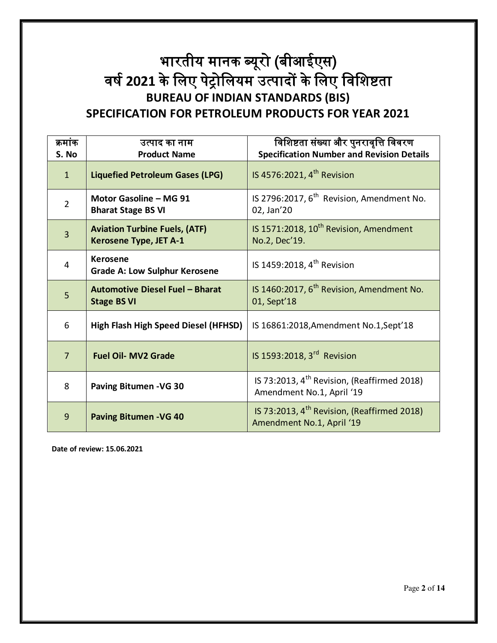### भारतीय मानक ब्यूरो (बीआईएस) वर् ष**2021** के मलए पट्रेोमलयम उत्पादों के मलए मवमिष्टता **BUREAU OF INDIAN STANDARDS (BIS) SPECIFICATION FOR PETROLEUM PRODUCTS FOR YEAR 2021**

| क्रमांक<br>S. No | उत्पाद का नाम<br><b>Product Name</b>                                  | विशिष्टता संख्या और पुनरावृत्ति विवरण<br><b>Specification Number and Revision Details</b> |
|------------------|-----------------------------------------------------------------------|-------------------------------------------------------------------------------------------|
| $\mathbf{1}$     | <b>Liquefied Petroleum Gases (LPG)</b>                                | IS 4576:2021, 4 <sup>th</sup> Revision                                                    |
| $\overline{2}$   | Motor Gasoline - MG 91<br><b>Bharat Stage BS VI</b>                   | IS 2796:2017, 6 <sup>th</sup> Revision, Amendment No.<br>02, Jan'20                       |
| $\overline{3}$   | <b>Aviation Turbine Fuels, (ATF)</b><br><b>Kerosene Type, JET A-1</b> | IS 1571:2018, 10 <sup>th</sup> Revision, Amendment<br>No.2, Dec'19.                       |
| 4                | <b>Kerosene</b><br><b>Grade A: Low Sulphur Kerosene</b>               | IS 1459:2018, 4 <sup>th</sup> Revision                                                    |
| 5                | Automotive Diesel Fuel - Bharat<br><b>Stage BS VI</b>                 | IS 1460:2017, 6 <sup>th</sup> Revision, Amendment No.<br>01, Sept'18                      |
| 6                | <b>High Flash High Speed Diesel (HFHSD)</b>                           | IS 16861:2018, Amendment No.1, Sept'18                                                    |
| $\overline{7}$   | <b>Fuel Oil- MV2 Grade</b>                                            | IS 1593:2018, 3 <sup>rd</sup> Revision                                                    |
| 8                | <b>Paving Bitumen - VG 30</b>                                         | IS 73:2013, 4 <sup>th</sup> Revision, (Reaffirmed 2018)<br>Amendment No.1, April '19      |
| 9                | <b>Paving Bitumen - VG 40</b>                                         | IS 73:2013, 4 <sup>th</sup> Revision, (Reaffirmed 2018)<br>Amendment No.1, April '19      |

**Date of review: 15.06.2021**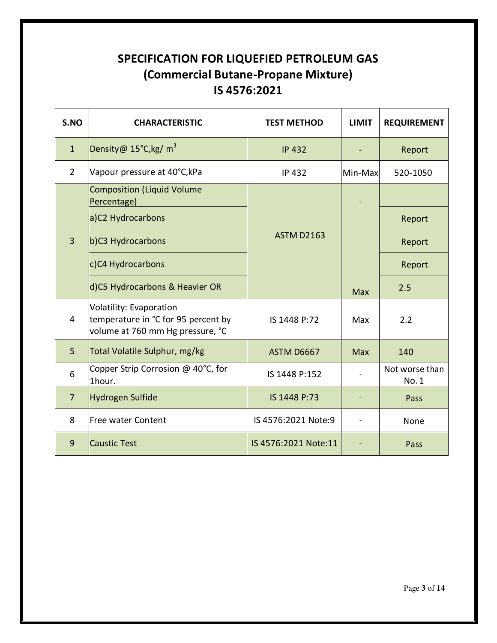#### **SPECIFICATION FOR LIQUEFIED PETROLEUM GAS (Commercial Butane-Propane Mixture) IS 4576:2021**

| S.NO           | <b>CHARACTERISTIC</b>                                                                              | <b>TEST METHOD</b>   | <b>LIMIT</b> | <b>REQUIREMENT</b>      |
|----------------|----------------------------------------------------------------------------------------------------|----------------------|--------------|-------------------------|
| $\overline{1}$ | Density@ 15°C,kg/ m <sup>3</sup>                                                                   | <b>IP 432</b>        |              | Report                  |
| $\overline{2}$ | Vapour pressure at 40°C, kPa                                                                       | <b>IP 432</b>        | Min-Max      | 520-1050                |
|                | Composition (Liquid Volume<br>Percentage)                                                          |                      |              |                         |
| $\overline{3}$ | a)C2 Hydrocarbons                                                                                  |                      |              | Report                  |
|                | b)C3 Hydrocarbons                                                                                  | <b>ASTM D2163</b>    |              | Report                  |
|                | c)C4 Hydrocarbons                                                                                  |                      |              | Report                  |
|                | d)C5 Hydrocarbons & Heavier OR                                                                     |                      | <b>Max</b>   | 2.5                     |
| 4              | Volatility: Evaporation<br>temperature in °C for 95 percent by<br>volume at 760 mm Hg pressure, °C | IS 1448 P:72         | Max          | 2.2                     |
| 5              | Total Volatile Sulphur, mg/kg                                                                      | ASTM D6667           | <b>Max</b>   | 140                     |
| 6              | Copper Strip Corrosion @ 40°C, for<br>1hour.                                                       | IS 1448 P:152        |              | Not worse than<br>No. 1 |
| $\overline{7}$ | Hydrogen Sulfide                                                                                   | IS 1448 P:73         |              | Pass                    |
| 8              | Free water Content                                                                                 | IS 4576:2021 Note:9  |              | None                    |
| 9              | <b>Caustic Test</b>                                                                                | IS 4576:2021 Note:11 |              | Pass                    |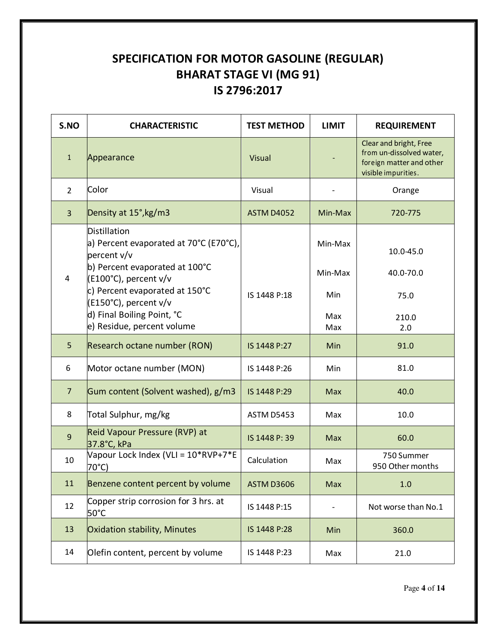#### **SPECIFICATION FOR MOTOR GASOLINE (REGULAR) BHARAT STAGE VI (MG 91) IS 2796:2017**

| S.NO           | <b>CHARACTERISTIC</b>                                                   | <b>TEST METHOD</b> | <b>LIMIT</b> | <b>REQUIREMENT</b>                                                                                    |
|----------------|-------------------------------------------------------------------------|--------------------|--------------|-------------------------------------------------------------------------------------------------------|
| $\mathbf{1}$   | Appearance                                                              | Visual             |              | Clear and bright, Free<br>from un-dissolved water,<br>foreign matter and other<br>visible impurities. |
| $\overline{2}$ | Color                                                                   | Visual             |              | Orange                                                                                                |
| $\overline{3}$ | Density at 15°, kg/m3                                                   | <b>ASTM D4052</b>  | Min-Max      | 720-775                                                                                               |
|                | Distillation<br>a) Percent evaporated at 70°C (E70°C),<br>percent v/v   |                    | Min-Max      | 10.0-45.0                                                                                             |
| 4              | b) Percent evaporated at 100°C<br>(E100°C), percent v/v                 |                    | Min-Max      | 40.0-70.0                                                                                             |
|                | c) Percent evaporated at 150°C<br>IS 1448 P:18<br>(E150°C), percent v/v |                    | Min          | 75.0                                                                                                  |
|                | d) Final Boiling Point, °C<br>e) Residue, percent volume                |                    | Max<br>Max   | 210.0<br>2.0                                                                                          |
| 5              | Research octane number (RON)                                            | IS 1448 P:27       | Min          | 91.0                                                                                                  |
| 6              | Motor octane number (MON)                                               | IS 1448 P:26       | Min          | 81.0                                                                                                  |
| $\overline{7}$ | Gum content (Solvent washed), g/m3                                      | IS 1448 P:29       | Max          | 40.0                                                                                                  |
| 8              | Total Sulphur, mg/kg                                                    | <b>ASTM D5453</b>  | Max          | 10.0                                                                                                  |
| 9              | Reid Vapour Pressure (RVP) at<br>37.8°C, kPa                            | IS 1448 P: 39      | Max          | 60.0                                                                                                  |
| 10             | Vapour Lock Index (VLI = 10*RVP+7*E<br>70°C)                            | Calculation        | Max          | 750 Summer<br>950 Other months                                                                        |
| 11             | Benzene content percent by volume                                       | <b>ASTM D3606</b>  | Max          | 1.0                                                                                                   |
| 12             | Copper strip corrosion for 3 hrs. at<br>50°C                            | IS 1448 P:15       |              | Not worse than No.1                                                                                   |
| 13             | Oxidation stability, Minutes                                            | IS 1448 P:28       | Min          | 360.0                                                                                                 |
| 14             | Olefin content, percent by volume                                       | IS 1448 P:23       | Max          | 21.0                                                                                                  |

Page **4** of **14**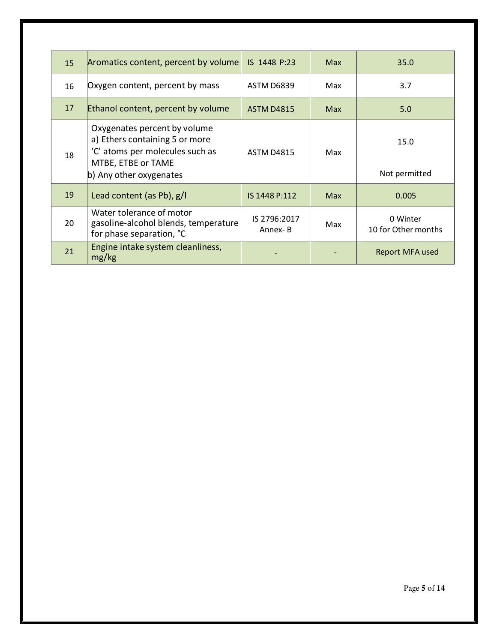| 15 | Aromatics content, percent by volume                                                                                                               | IS 1448 P:23            | <b>Max</b> | 35.0                            |
|----|----------------------------------------------------------------------------------------------------------------------------------------------------|-------------------------|------------|---------------------------------|
| 16 | Oxygen content, percent by mass                                                                                                                    | ASTM D6839              | Max        | 3.7                             |
| 17 | Ethanol content, percent by volume                                                                                                                 | <b>ASTM D4815</b>       | Max        | 5.0                             |
| 18 | Oxygenates percent by volume<br>a) Ethers containing 5 or more<br>'C' atoms per molecules such as<br>MTBE, ETBE or TAME<br>b) Any other oxygenates | <b>ASTM D4815</b>       | Max        | 15.0<br>Not permitted           |
| 19 | Lead content (as Pb), $g/I$                                                                                                                        | IS 1448 P:112           | Max        | 0.005                           |
| 20 | Water tolerance of motor<br>gasoline-alcohol blends, temperature<br>for phase separation, °C                                                       | IS 2796:2017<br>Annex-B | Max        | 0 Winter<br>10 for Other months |
| 21 | Engine intake system cleanliness,<br>mg/kg                                                                                                         |                         |            | Report MFA used                 |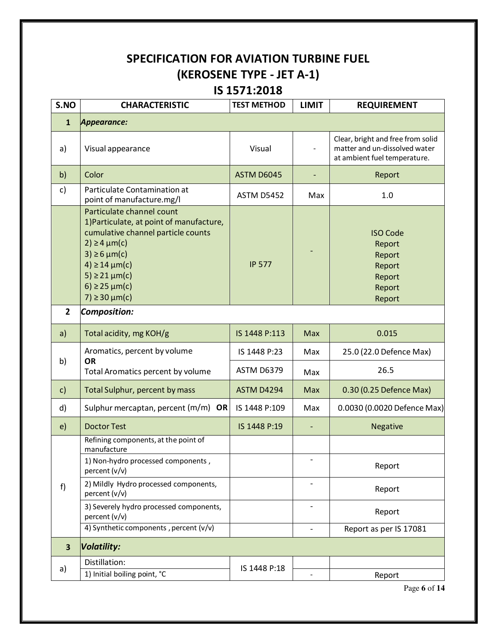#### **SPECIFICATION FOR AVIATION TURBINE FUEL (KEROSENE TYPE - JET A-1) IS 1571:2018**

| S.NO                    | <b>CHARACTERISTIC</b>                                                                                                                                                                                                                                  | <b>TEST METHOD</b> | <b>LIMIT</b>                 | <b>REQUIREMENT</b>                                                                                 |
|-------------------------|--------------------------------------------------------------------------------------------------------------------------------------------------------------------------------------------------------------------------------------------------------|--------------------|------------------------------|----------------------------------------------------------------------------------------------------|
| $\mathbf{1}$            | Appearance:                                                                                                                                                                                                                                            |                    |                              |                                                                                                    |
| a)                      | Visual appearance                                                                                                                                                                                                                                      | Visual             |                              | Clear, bright and free from solid<br>matter and un-dissolved water<br>at ambient fuel temperature. |
| b)                      | Color                                                                                                                                                                                                                                                  | ASTM D6045         |                              | Report                                                                                             |
| c)                      | Particulate Contamination at<br>point of manufacture.mg/l                                                                                                                                                                                              | <b>ASTM D5452</b>  | Max                          | 1.0                                                                                                |
|                         | Particulate channel count<br>1) Particulate, at point of manufacture,<br>cumulative channel particle counts<br>$2) \geq 4 \mu m(c)$<br>$3) \ge 6 \mu m(c)$<br>$4) \ge 14 \mu m(c)$<br>5) ≥ 21 $\mu$ m(c)<br>6) ≥ 25 $\mu$ m(c)<br>$7) \ge 30 \mu m(c)$ | <b>IP 577</b>      |                              | <b>ISO Code</b><br>Report<br>Report<br>Report<br>Report<br>Report<br>Report                        |
| $\mathbf{2}$            | <b>Composition:</b>                                                                                                                                                                                                                                    |                    |                              |                                                                                                    |
| a)                      | Total acidity, mg KOH/g                                                                                                                                                                                                                                | IS 1448 P:113      | Max                          | 0.015                                                                                              |
| b)                      | Aromatics, percent by volume<br><b>OR</b><br>Total Aromatics percent by volume                                                                                                                                                                         | IS 1448 P:23       | Max                          | 25.0 (22.0 Defence Max)                                                                            |
|                         |                                                                                                                                                                                                                                                        | <b>ASTM D6379</b>  | Max                          | 26.5                                                                                               |
| $\mathsf{c})$           | Total Sulphur, percent by mass                                                                                                                                                                                                                         | ASTM D4294         | Max                          | 0.30 (0.25 Defence Max)                                                                            |
| d)                      | Sulphur mercaptan, percent $(m/m)$ OR                                                                                                                                                                                                                  | IS 1448 P:109      | Max                          | 0.0030 (0.0020 Defence Max)                                                                        |
| e)                      | <b>Doctor Test</b>                                                                                                                                                                                                                                     | IS 1448 P:19       |                              | <b>Negative</b>                                                                                    |
|                         | Refining components, at the point of<br>manufacture                                                                                                                                                                                                    |                    |                              |                                                                                                    |
|                         | 1) Non-hydro processed components,<br>percent (v/v)                                                                                                                                                                                                    |                    |                              | Report                                                                                             |
| f)                      | 2) Mildly Hydro processed components,<br>percent (v/v)                                                                                                                                                                                                 |                    | $\qquad \qquad \blacksquare$ | Report                                                                                             |
|                         | 3) Severely hydro processed components,<br>percent (v/v)                                                                                                                                                                                               |                    |                              | Report                                                                                             |
|                         | 4) Synthetic components, percent (v/v)                                                                                                                                                                                                                 |                    | $\overline{\phantom{0}}$     | Report as per IS 17081                                                                             |
| $\overline{\mathbf{3}}$ | <b>Volatility:</b>                                                                                                                                                                                                                                     |                    |                              |                                                                                                    |
| a)                      | Distillation:                                                                                                                                                                                                                                          | IS 1448 P:18       |                              |                                                                                                    |
|                         | 1) Initial boiling point, °C                                                                                                                                                                                                                           |                    |                              | Report                                                                                             |

Page **6** of **14**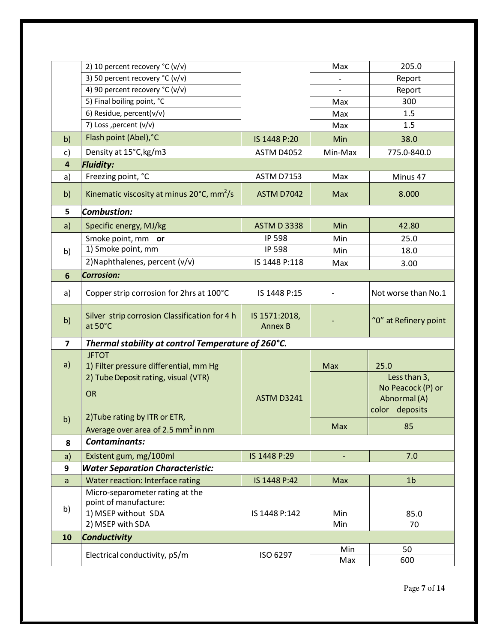|                         | 2) 10 percent recovery °C (v/v)                                 |                                 | Max        | 205.0                             |
|-------------------------|-----------------------------------------------------------------|---------------------------------|------------|-----------------------------------|
|                         | 3) 50 percent recovery °C (v/v)                                 |                                 |            | Report                            |
|                         | 4) 90 percent recovery °C (v/v)                                 |                                 |            | Report                            |
|                         | 5) Final boiling point, °C                                      |                                 | Max        | 300                               |
|                         | 6) Residue, percent(v/v)                                        |                                 | Max        | 1.5                               |
|                         | 7) Loss , percent (v/v)                                         |                                 | Max        | 1.5                               |
| b)                      | Flash point (Abel), °C                                          | IS 1448 P:20                    | Min        | 38.0                              |
| c)                      | Density at 15°C, kg/m3                                          | <b>ASTM D4052</b>               | Min-Max    | 775.0-840.0                       |
| $\overline{\mathbf{4}}$ | <b>Fluidity:</b>                                                |                                 |            |                                   |
| a)                      | Freezing point, °C                                              | <b>ASTM D7153</b>               | Max        | Minus 47                          |
| b)                      | Kinematic viscosity at minus $20^{\circ}$ C, mm <sup>2</sup> /s | <b>ASTM D7042</b>               | <b>Max</b> | 8.000                             |
| 5                       | <b>Combustion:</b>                                              |                                 |            |                                   |
| a)                      | Specific energy, MJ/kg                                          | <b>ASTM D 3338</b>              | Min        | 42.80                             |
|                         | Smoke point, mm or                                              | <b>IP 598</b>                   | Min        | 25.0                              |
| b)                      | 1) Smoke point, mm                                              | <b>IP 598</b>                   | Min        | 18.0                              |
|                         | 2) Naphthalenes, percent (v/v)                                  | IS 1448 P:118                   | Max        | 3.00                              |
| 6                       | <b>Corrosion:</b>                                               |                                 |            |                                   |
| a)                      | Copper strip corrosion for 2hrs at 100°C                        | IS 1448 P:15                    |            | Not worse than No.1               |
| b)                      | Silver strip corrosion Classification for 4 h<br>at 50°C        | IS 1571:2018,<br><b>Annex B</b> |            | "0" at Refinery point             |
| $\overline{\mathbf{z}}$ | Thermal stability at control Temperature of 260°C.              |                                 |            |                                   |
|                         | <b>JFTOT</b>                                                    |                                 |            |                                   |
| a)                      | 1) Filter pressure differential, mm Hg                          |                                 | Max        | 25.0                              |
|                         | 2) Tube Deposit rating, visual (VTR)                            |                                 |            | Less than 3,<br>No Peacock (P) or |
|                         | <b>OR</b>                                                       | <b>ASTM D3241</b>               |            | Abnormal (A)                      |
|                         |                                                                 |                                 |            | color deposits                    |
| b)                      | 2) Tube rating by ITR or ETR,                                   |                                 | Max        | 85                                |
|                         | Average over area of 2.5 mm <sup>2</sup> in nm                  |                                 |            |                                   |
| 8                       | <b>Contaminants:</b>                                            |                                 |            |                                   |
| a)                      | Existent gum, mg/100ml                                          | IS 1448 P:29                    | ÷,         | 7.0                               |
| 9                       | <b>Water Separation Characteristic:</b>                         |                                 |            |                                   |
| a                       | Water reaction: Interface rating                                | IS 1448 P:42                    | Max        | 1 <sub>b</sub>                    |
|                         | Micro-separometer rating at the                                 |                                 |            |                                   |
| b)                      | point of manufacture:<br>1) MSEP without SDA                    |                                 |            |                                   |
|                         | 2) MSEP with SDA                                                | IS 1448 P:142                   | Min<br>Min | 85.0<br>70                        |
|                         |                                                                 |                                 |            |                                   |
| 10                      | <b>Conductivity</b>                                             |                                 |            |                                   |
|                         | Electrical conductivity, pS/m                                   | ISO 6297                        | Min<br>Max | 50<br>600                         |
|                         |                                                                 |                                 |            |                                   |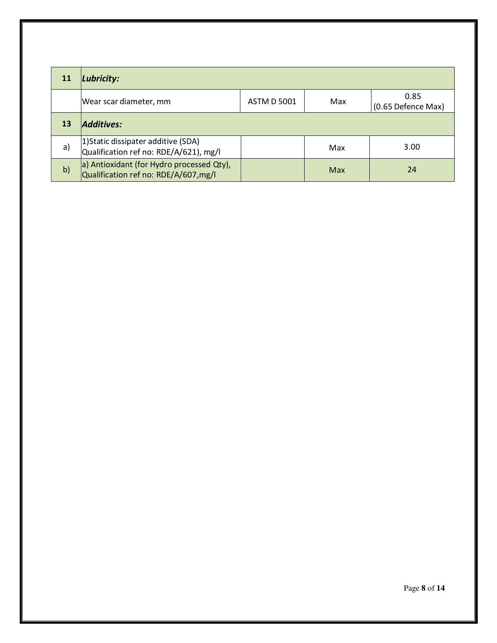|    | Lubricity:                                                                        |                    |     |                            |
|----|-----------------------------------------------------------------------------------|--------------------|-----|----------------------------|
|    | Wear scar diameter, mm                                                            | <b>ASTM D 5001</b> | Max | 0.85<br>(0.65 Defence Max) |
| 13 | Additives:                                                                        |                    |     |                            |
| a) | 1) Static dissipater additive (SDA)<br>Qualification ref no: RDE/A/621), mg/l     |                    | Max | 3.00                       |
| b) | a) Antioxidant (for Hydro processed Qty),<br>Qualification ref no: RDE/A/607,mg/l |                    | Max | 24                         |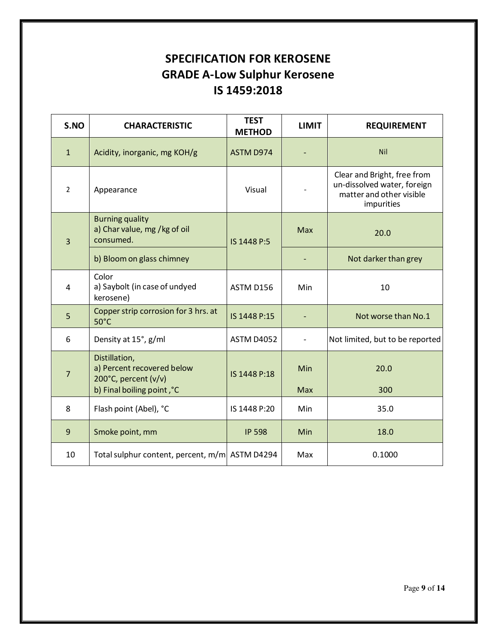#### **SPECIFICATION FOR KEROSENE GRADE A-Low Sulphur Kerosene IS 1459:2018**

| S.NO           | <b>CHARACTERISTIC</b>                                               | <b>TEST</b><br><b>METHOD</b> | <b>LIMIT</b> | <b>REQUIREMENT</b>                                                                                   |
|----------------|---------------------------------------------------------------------|------------------------------|--------------|------------------------------------------------------------------------------------------------------|
| $\mathbf{1}$   | Acidity, inorganic, mg KOH/g                                        | ASTM D974                    |              | <b>Nil</b>                                                                                           |
| $\overline{2}$ | Appearance                                                          | Visual                       |              | Clear and Bright, free from<br>un-dissolved water, foreign<br>matter and other visible<br>impurities |
| $\overline{3}$ | <b>Burning quality</b><br>a) Char value, mg /kg of oil<br>consumed. | IS 1448 P:5                  | <b>Max</b>   | 20.0                                                                                                 |
|                | b) Bloom on glass chimney                                           |                              |              | Not darker than grey                                                                                 |
| $\overline{4}$ | Color<br>a) Saybolt (in case of undyed<br>kerosene)                 | ASTM D156                    | Min          | 10                                                                                                   |
| 5              | Copper strip corrosion for 3 hrs. at<br>$50^{\circ}$ C              | IS 1448 P:15                 |              | Not worse than No.1                                                                                  |
| 6              | Density at 15°, g/ml                                                | <b>ASTM D4052</b>            |              | Not limited, but to be reported                                                                      |
| $\overline{7}$ | Distillation,<br>a) Percent recovered below<br>200°C, percent (v/v) | IS 1448 P:18                 | Min          | 20.0                                                                                                 |
|                | b) Final boiling point, °C                                          |                              | Max          | 300                                                                                                  |
| 8              | Flash point (Abel), °C                                              | IS 1448 P:20                 | Min          | 35.0                                                                                                 |
| $\overline{9}$ | Smoke point, mm                                                     | <b>IP 598</b>                | Min          | 18.0                                                                                                 |
| 10             | Total sulphur content, percent, m/m ASTM D4294                      |                              | Max          | 0.1000                                                                                               |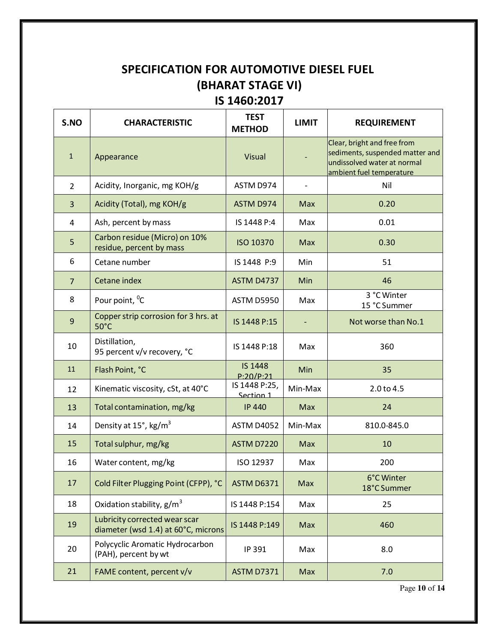#### **SPECIFICATION FOR AUTOMOTIVE DIESEL FUEL (BHARAT STAGE VI) IS 1460:2017**

| S.NO           | <b>CHARACTERISTIC</b>                                                | <b>TEST</b><br><b>METHOD</b> | <b>LIMIT</b>             | <b>REQUIREMENT</b>                                                                                                        |
|----------------|----------------------------------------------------------------------|------------------------------|--------------------------|---------------------------------------------------------------------------------------------------------------------------|
| $\mathbf{1}$   | Appearance                                                           | <b>Visual</b>                |                          | Clear, bright and free from<br>sediments, suspended matter and<br>undissolved water at normal<br>ambient fuel temperature |
| $\overline{2}$ | Acidity, Inorganic, mg KOH/g                                         | ASTM D974                    | $\overline{\phantom{a}}$ | Nil                                                                                                                       |
| 3              | Acidity (Total), mg KOH/g                                            | ASTM D974                    | Max                      | 0.20                                                                                                                      |
| 4              | Ash, percent by mass                                                 | IS 1448 P:4                  | Max                      | 0.01                                                                                                                      |
| 5              | Carbon residue (Micro) on 10%<br>residue, percent by mass            | <b>ISO 10370</b>             | <b>Max</b>               | 0.30                                                                                                                      |
| 6              | Cetane number                                                        | IS 1448 P:9                  | Min                      | 51                                                                                                                        |
| $\overline{7}$ | Cetane index                                                         | <b>ASTM D4737</b>            | Min                      | 46                                                                                                                        |
| 8              | Pour point, <sup>o</sup> C                                           | <b>ASTM D5950</b>            | Max                      | 3 °C Winter<br>15 °C Summer                                                                                               |
| 9              | Copper strip corrosion for 3 hrs. at<br>$50^{\circ}$ C               | IS 1448 P:15                 |                          | Not worse than No.1                                                                                                       |
| 10             | Distillation,<br>95 percent v/v recovery, °C                         | IS 1448 P:18                 | Max                      | 360                                                                                                                       |
| 11             | Flash Point, °C                                                      | <b>IS 1448</b><br>P:20/P:21  | Min                      | 35                                                                                                                        |
| 12             | Kinematic viscosity, cSt, at 40°C                                    | IS 1448 P:25,<br>Section 1   | Min-Max                  | 2.0 to 4.5                                                                                                                |
| 13             | Total contamination, mg/kg                                           | <b>IP 440</b>                | Max                      | 24                                                                                                                        |
| 14             | Density at 15°, kg/m <sup>3</sup>                                    | <b>ASTM D4052</b>            | Min-Max                  | 810.0-845.0                                                                                                               |
| 15             | Total sulphur, mg/kg                                                 | <b>ASTM D7220</b>            | Max                      | 10                                                                                                                        |
| 16             | Water content, mg/kg                                                 | ISO 12937                    | Max                      | 200                                                                                                                       |
| 17             | Cold Filter Plugging Point (CFPP), °C                                | <b>ASTM D6371</b>            | Max                      | 6°C Winter<br>18°C Summer                                                                                                 |
| 18             | Oxidation stability, $g/m^3$                                         | IS 1448 P:154                | Max                      | 25                                                                                                                        |
| 19             | Lubricity corrected wear scar<br>diameter (wsd 1.4) at 60°C, microns | IS 1448 P:149                | Max                      | 460                                                                                                                       |
| 20             | Polycyclic Aromatic Hydrocarbon<br>(PAH), percent by wt              | IP 391                       | Max                      | 8.0                                                                                                                       |
| 21             | FAME content, percent v/v                                            | <b>ASTM D7371</b>            | Max                      | 7.0                                                                                                                       |

Page **10** of **14**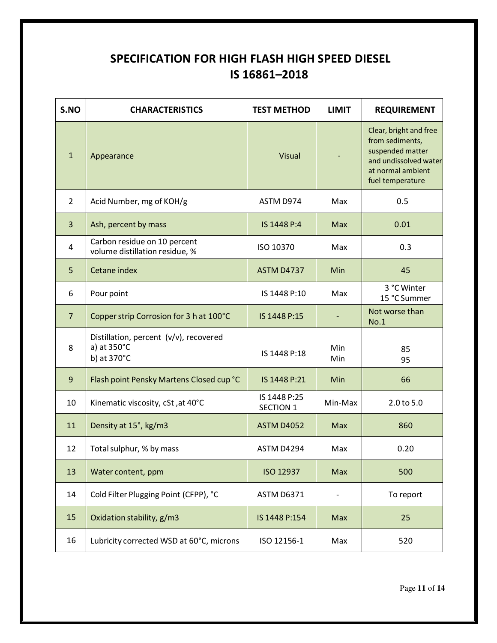#### **SPECIFICATION FOR HIGH FLASH HIGH SPEED DIESEL IS 16861–2018**

| S.NO           | <b>CHARACTERISTICS</b>                                               | <b>TEST METHOD</b>               | <b>LIMIT</b> | <b>REQUIREMENT</b>                                                                                                              |
|----------------|----------------------------------------------------------------------|----------------------------------|--------------|---------------------------------------------------------------------------------------------------------------------------------|
| $\mathbf{1}$   | Appearance                                                           | <b>Visual</b>                    |              | Clear, bright and free<br>from sediments,<br>suspended matter<br>and undissolved water<br>at normal ambient<br>fuel temperature |
| $\overline{2}$ | Acid Number, mg of KOH/g                                             | ASTM D974                        | Max          | 0.5                                                                                                                             |
| 3              | Ash, percent by mass                                                 | IS 1448 P:4                      | Max          | 0.01                                                                                                                            |
| 4              | Carbon residue on 10 percent<br>volume distillation residue, %       | ISO 10370                        | Max          | 0.3                                                                                                                             |
| 5              | Cetane index                                                         | <b>ASTM D4737</b>                | Min          | 45                                                                                                                              |
| 6              | Pour point                                                           | IS 1448 P:10                     | Max          | 3 °C Winter<br>15 °C Summer                                                                                                     |
| $\overline{7}$ | Copper strip Corrosion for 3 h at 100°C                              | IS 1448 P:15                     |              | Not worse than<br>No.1                                                                                                          |
| 8              | Distillation, percent (v/v), recovered<br>a) at 350°C<br>b) at 370°C | IS 1448 P:18                     | Min<br>Min   | 85<br>95                                                                                                                        |
| 9              | Flash point Pensky Martens Closed cup °C                             | IS 1448 P:21                     | Min          | 66                                                                                                                              |
| 10             | Kinematic viscosity, cSt, at 40°C                                    | IS 1448 P:25<br><b>SECTION 1</b> | Min-Max      | 2.0 to 5.0                                                                                                                      |
| 11             | Density at 15°, kg/m3                                                | <b>ASTM D4052</b>                | <b>Max</b>   | 860                                                                                                                             |
| 12             | Total sulphur, % by mass                                             | ASTM D4294                       | Max          | 0.20                                                                                                                            |
| 13             | Water content, ppm                                                   | ISO 12937                        | Max          | 500                                                                                                                             |
| 14             | Cold Filter Plugging Point (CFPP), °C                                | <b>ASTM D6371</b>                |              | To report                                                                                                                       |
| 15             | Oxidation stability, g/m3                                            | IS 1448 P:154                    | Max          | 25                                                                                                                              |
| 16             | Lubricity corrected WSD at 60°C, microns                             | ISO 12156-1                      | Max          | 520                                                                                                                             |

Page **11** of **14**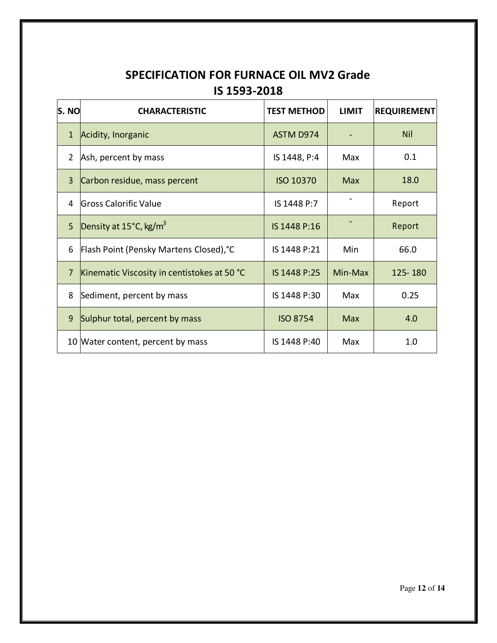#### **SPECIFICATION FOR FURNACE OIL MV2 Grade IS 1593-2018**

| S. NO          | <b>CHARACTERISTIC</b>                        | <b>TEST METHOD</b> | <b>LIMIT</b> | <b>REQUIREMENT</b> |
|----------------|----------------------------------------------|--------------------|--------------|--------------------|
| $\mathbf{1}$   | Acidity, Inorganic                           | ASTM D974          |              | <b>Nil</b>         |
| $\overline{2}$ | Ash, percent by mass                         | IS 1448, P:4       | Max          | 0.1                |
| 3              | Carbon residue, mass percent                 | <b>ISO 10370</b>   | <b>Max</b>   | 18.0               |
| 4              | Gross Calorific Value                        | IS 1448 P:7        |              | Report             |
| 5 <sup>1</sup> | Density at $15^{\circ}$ C, kg/m <sup>3</sup> | IS 1448 P:16       |              | Report             |
| 6              | Flash Point (Pensky Martens Closed), °C      | IS 1448 P:21       | Min          | 66.0               |
| $\overline{7}$ | Kinematic Viscosity in centistokes at 50 °C  | IS 1448 P:25       | Min-Max      | 125-180            |
| 8              | Sediment, percent by mass                    | IS 1448 P:30       | Max          | 0.25               |
| 9              | Sulphur total, percent by mass               | <b>ISO 8754</b>    | <b>Max</b>   | 4.0                |
|                | 10 Water content, percent by mass            | IS 1448 P:40       | Max          | 1.0                |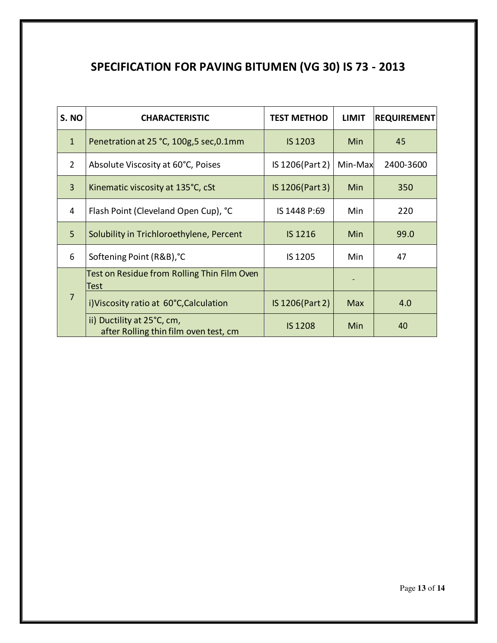## **SPECIFICATION FOR PAVING BITUMEN (VG 30) IS 73 - 2013**

| S. NO          | <b>CHARACTERISTIC</b>                                               | <b>TEST METHOD</b> | <b>LIMIT</b> | <b>REQUIREMENT</b> |
|----------------|---------------------------------------------------------------------|--------------------|--------------|--------------------|
| $\mathbf{1}$   | Penetration at 25 °C, 100g,5 sec,0.1mm                              | <b>IS 1203</b>     | Min          | 45                 |
| $\overline{2}$ | Absolute Viscosity at 60°C, Poises                                  | IS 1206(Part 2)    | Min-Max      | 2400-3600          |
| $\overline{3}$ | Kinematic viscosity at 135°C, cSt                                   | IS 1206(Part 3)    | Min          | 350                |
| 4              | Flash Point (Cleveland Open Cup), °C                                | IS 1448 P:69       | Min          | 220                |
| 5 <sup>5</sup> | Solubility in Trichloroethylene, Percent                            | IS 1216            | Min          | 99.0               |
| 6              | Softening Point (R&B), °C                                           | IS 1205            | Min          | 47                 |
|                | Test on Residue from Rolling Thin Film Oven<br>Test                 |                    |              |                    |
| 7              | i) Viscosity ratio at 60°C, Calculation                             | IS 1206(Part 2)    | <b>Max</b>   | 4.0                |
|                | ii) Ductility at 25°C, cm,<br>after Rolling thin film oven test, cm | <b>IS 1208</b>     | Min          | 40                 |

Page **13** of **14**